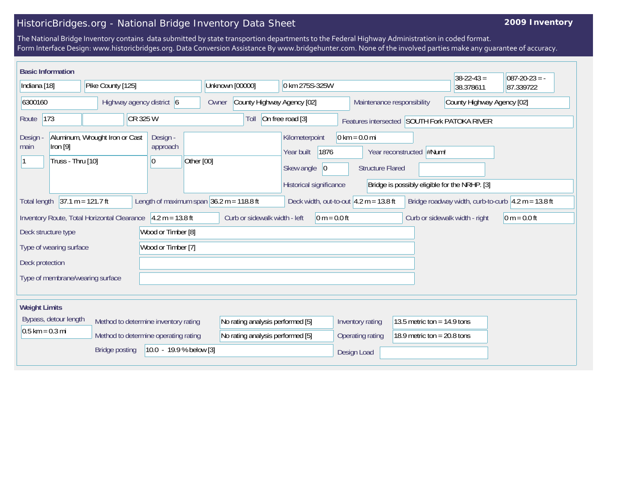## HistoricBridges.org - National Bridge Inventory Data Sheet

## **2009 Inventory**

The National Bridge Inventory contains data submitted by state transportion departments to the Federal Highway Administration in coded format. Form Interface Design: www.historicbridges.org. Data Conversion Assistance By www.bridgehunter.com. None of the involved parties make any guarantee of accuracy.

|                                                                                                                                                                                                             | <b>Basic Information</b>                      |                                             |  |                                                                              |            |                                                                      |  |                                                                                      |                |                                                            |                                                                | $38 - 22 - 43 =$                              | $ 087-20-23 = -$ |
|-------------------------------------------------------------------------------------------------------------------------------------------------------------------------------------------------------------|-----------------------------------------------|---------------------------------------------|--|------------------------------------------------------------------------------|------------|----------------------------------------------------------------------|--|--------------------------------------------------------------------------------------|----------------|------------------------------------------------------------|----------------------------------------------------------------|-----------------------------------------------|------------------|
| Indiana [18]                                                                                                                                                                                                |                                               | Pike County [125]                           |  |                                                                              |            | Unknown [00000]                                                      |  | 0 km 275S-325W                                                                       |                |                                                            |                                                                | 38.378611                                     | 87.339722        |
| 6300160                                                                                                                                                                                                     |                                               | Highway agency district 6                   |  |                                                                              |            | County Highway Agency [02]<br>Owner                                  |  |                                                                                      |                | County Highway Agency [02]<br>Maintenance responsibility   |                                                                |                                               |                  |
| CR 325 W<br> 173<br>Route                                                                                                                                                                                   |                                               |                                             |  | Toll                                                                         |            | On free road [3]                                                     |  |                                                                                      |                | Features intersected SOUTH Fork PATOKA RIVER               |                                                                |                                               |                  |
| Design<br>main                                                                                                                                                                                              | Iron $[9]$<br>Truss - Thru [10]               | Aluminum, Wrought Iron or Cast              |  | Design -<br>approach<br>10                                                   | Other [00] |                                                                      |  | Kilometerpoint<br>Year built<br>1876<br>Skew angle<br> 0 <br>Historical significance |                | $0 \text{ km} = 0.0 \text{ mi}$<br><b>Structure Flared</b> | Year reconstructed #Num!                                       | Bridge is possibly eligible for the NRHP. [3] |                  |
| $37.1 m = 121.7 ft$<br>Length of maximum span $36.2$ m = 118.8 ft<br>Deck width, out-to-out $4.2 m = 13.8 ft$<br>Bridge roadway width, curb-to-curb $\sqrt{4.2 m} = 13.8 \text{ ft}$<br><b>Total length</b> |                                               |                                             |  |                                                                              |            |                                                                      |  |                                                                                      |                |                                                            |                                                                |                                               |                  |
|                                                                                                                                                                                                             |                                               | Inventory Route, Total Horizontal Clearance |  | $4.2 m = 13.8 ft$                                                            |            | Curb or sidewalk width - left                                        |  |                                                                                      | $0 m = 0.0 ft$ |                                                            |                                                                | Curb or sidewalk width - right                | $ 0 m = 0.0 ft$  |
| Wood or Timber [8]<br>Deck structure type                                                                                                                                                                   |                                               |                                             |  |                                                                              |            |                                                                      |  |                                                                                      |                |                                                            |                                                                |                                               |                  |
|                                                                                                                                                                                                             | Wood or Timber [7]<br>Type of wearing surface |                                             |  |                                                                              |            |                                                                      |  |                                                                                      |                |                                                            |                                                                |                                               |                  |
|                                                                                                                                                                                                             | Deck protection                               |                                             |  |                                                                              |            |                                                                      |  |                                                                                      |                |                                                            |                                                                |                                               |                  |
| Type of membrane/wearing surface                                                                                                                                                                            |                                               |                                             |  |                                                                              |            |                                                                      |  |                                                                                      |                |                                                            |                                                                |                                               |                  |
|                                                                                                                                                                                                             |                                               |                                             |  |                                                                              |            |                                                                      |  |                                                                                      |                |                                                            |                                                                |                                               |                  |
| <b>Weight Limits</b><br>$0.5$ km = 0.3 mi                                                                                                                                                                   | Bypass, detour length                         |                                             |  | Method to determine inventory rating<br>Method to determine operating rating |            | No rating analysis performed [5]<br>No rating analysis performed [5] |  |                                                                                      |                | Inventory rating<br>Operating rating                       | 13.5 metric ton = $14.9$ tons<br>18.9 metric ton = $20.8$ tons |                                               |                  |
|                                                                                                                                                                                                             |                                               | <b>Bridge posting</b>                       |  | 10.0 - 19.9 % below [3]                                                      |            |                                                                      |  |                                                                                      |                | Design Load                                                |                                                                |                                               |                  |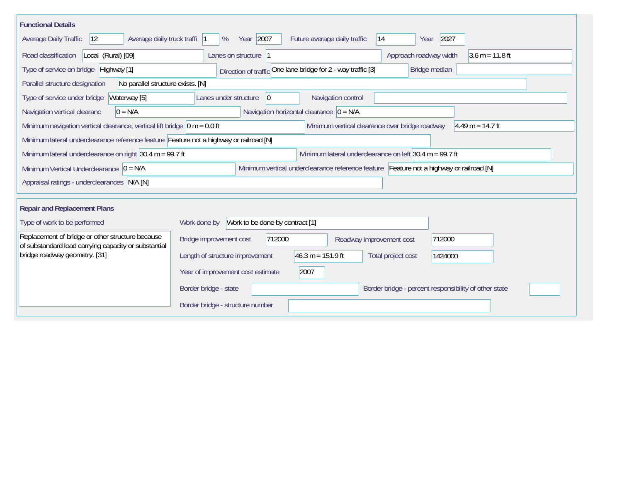| <b>Functional Details</b>                                                                                                                           |                                                                                         |  |  |  |  |  |  |  |  |  |
|-----------------------------------------------------------------------------------------------------------------------------------------------------|-----------------------------------------------------------------------------------------|--|--|--|--|--|--|--|--|--|
| Average daily truck traffi<br>Average Daily Traffic<br>$ 12\rangle$                                                                                 | Year 2007<br>2027<br>Future average daily traffic<br> 14<br>%<br>Year                   |  |  |  |  |  |  |  |  |  |
| Road classification<br>Local (Rural) [09]                                                                                                           | Approach roadway width<br>$3.6 m = 11.8 ft$<br>Lanes on structure  1                    |  |  |  |  |  |  |  |  |  |
| Direction of traffic One lane bridge for 2 - way traffic [3]<br>Type of service on bridge Highway [1]<br>Bridge median                              |                                                                                         |  |  |  |  |  |  |  |  |  |
| No parallel structure exists. [N]<br>Parallel structure designation                                                                                 |                                                                                         |  |  |  |  |  |  |  |  |  |
| Waterway [5]<br>Type of service under bridge                                                                                                        | 0 <br>Navigation control<br>Lanes under structure                                       |  |  |  |  |  |  |  |  |  |
| Navigation horizontal clearance $ 0 = N/A$<br>Navigation vertical clearanc<br>$0 = N/A$                                                             |                                                                                         |  |  |  |  |  |  |  |  |  |
| Minimum navigation vertical clearance, vertical lift bridge $ 0 m = 0.0 ft$<br>Minimum vertical clearance over bridge roadway<br>$4.49 m = 14.7 ft$ |                                                                                         |  |  |  |  |  |  |  |  |  |
| Minimum lateral underclearance reference feature Feature not a highway or railroad [N]                                                              |                                                                                         |  |  |  |  |  |  |  |  |  |
| Minimum lateral underclearance on left 30.4 $m = 99.7$ ft<br>Minimum lateral underclearance on right $30.4$ m = 99.7 ft                             |                                                                                         |  |  |  |  |  |  |  |  |  |
| Minimum Vertical Underclearance $ 0 = N/A$                                                                                                          | Minimum vertical underclearance reference feature Feature not a highway or railroad [N] |  |  |  |  |  |  |  |  |  |
| Appraisal ratings - underclearances N/A [N]                                                                                                         |                                                                                         |  |  |  |  |  |  |  |  |  |
|                                                                                                                                                     |                                                                                         |  |  |  |  |  |  |  |  |  |
| <b>Repair and Replacement Plans</b>                                                                                                                 |                                                                                         |  |  |  |  |  |  |  |  |  |
| Type of work to be performed                                                                                                                        | Work to be done by contract [1]<br>Work done by                                         |  |  |  |  |  |  |  |  |  |
| Replacement of bridge or other structure because<br>of substandard load carrying capacity or substantial                                            | Bridge improvement cost<br>712000<br>712000<br>Roadway improvement cost                 |  |  |  |  |  |  |  |  |  |
| bridge roadway geometry. [31]                                                                                                                       | $46.3 m = 151.9 ft$<br>Length of structure improvement<br>Total project cost<br>1424000 |  |  |  |  |  |  |  |  |  |
|                                                                                                                                                     | Year of improvement cost estimate<br>2007                                               |  |  |  |  |  |  |  |  |  |
|                                                                                                                                                     | Border bridge - state<br>Border bridge - percent responsibility of other state          |  |  |  |  |  |  |  |  |  |
|                                                                                                                                                     | Border bridge - structure number                                                        |  |  |  |  |  |  |  |  |  |